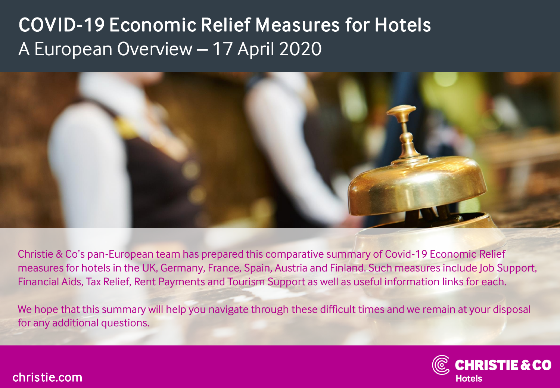

Christie & Co's pan-European team has prepared this comparative summary of Covid-19 Economic Relief measures for hotels in the UK, Germany, France, Spain, Austria and Finland. Such measures include Job Support, Financial Aids, Tax Relief, Rent Payments and Tourism Support as well as useful information links for each.

We hope that this summary will help you navigate through these difficult times and we remain at your disposal for any additional questions.



#### christie.com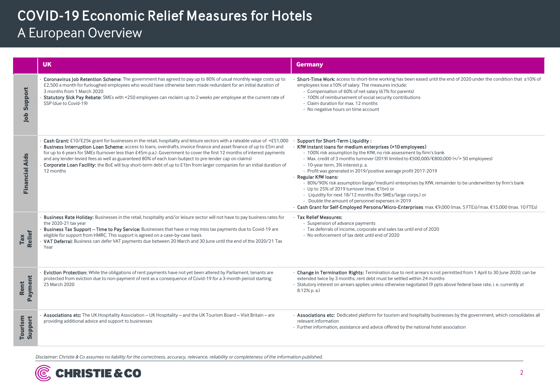|                       | <b>UK</b>                                                                                                                                                                                                                                                                                                                                                                                                                                                                                                                                                                                                                       | <b>Germany</b>                                                                                                                                                                                                                                                                                                                                                                                                                                                                                                                                                                                                                                                                                                                                                                                       |
|-----------------------|---------------------------------------------------------------------------------------------------------------------------------------------------------------------------------------------------------------------------------------------------------------------------------------------------------------------------------------------------------------------------------------------------------------------------------------------------------------------------------------------------------------------------------------------------------------------------------------------------------------------------------|------------------------------------------------------------------------------------------------------------------------------------------------------------------------------------------------------------------------------------------------------------------------------------------------------------------------------------------------------------------------------------------------------------------------------------------------------------------------------------------------------------------------------------------------------------------------------------------------------------------------------------------------------------------------------------------------------------------------------------------------------------------------------------------------------|
| Support<br>Job        | Coronavirus Job Retention Scheme: The government has agreed to pay up to 80% of usual monthly wage costs up to<br>£2,500 a month for furloughed employees who would have otherwise been made redundant for an initial duration of<br>3 months from 1 March 2020<br>Statutory Sick Pay Rebate: SMEs with <250 employees can reclaim up to 2 weeks per employee at the current rate of<br>SSP (due to Covid-19)                                                                                                                                                                                                                   | Short-Time Work: access to short-time working has been eased until the end of 2020 under the condition that ≥10% of<br>employees lose ≥10% of salary. The measures include:<br>- Compensation of 60% of net salary (67% for parents)<br>- 100% of reimbursement of social security contributions<br>- Claim duration for max. 12 months<br>- No negative hours on time account                                                                                                                                                                                                                                                                                                                                                                                                                       |
| <b>Financial Aids</b> | Cash Grant: £10/£25k grant for businesses in the retail, hospitality and leisure sectors with a rateable value of <£51,000<br>Business Interruption Loan Scheme: access to loans, overdrafts, invoice finance and asset finance of up to £5m and<br>for up to 6 years for SMEs (turnover less than £45m p.a.). Government to cover the first 12 months of interest payments<br>and any lender-levied fees as well as guaranteed 80% of each loan (subject to pre-lender cap on claims)<br>Corporate Loan Facility: the BoE will buy short-term debt of up to £1bn from larger companies for an initial duration of<br>12 months | Support for Short-Term Liquidity:<br>- KfW instant loans for medium enterprises (>10 employees)<br>- 100% risk assumption by the KfW, no risk assessment by firm's bank<br>- Max. credit of 3 months turnover (2019) limited to €500,000/€800,000 ( 50 employees)<br>- 10-year term, 3% interest p. a.<br>- Profit was generated in 2019/positive average profit 2017-2019<br>- Regular KfW loans:<br>- 80%/90% risk assumption (large/medium) enterprises by KfW, remainder to be underwritten by firm's bank<br>- Up to 25% of 2019 turnover (max. €1bn) or<br>- Liquidity for next 18/12 months (for SMEs/large corps.) or<br>- Double the amount of personnel expenses in 2019<br>- Cash Grant for Self-Employed Persons/Micro-Enterprises max. €9,000 (max. 5 FTEs)/max. €15,000 (max. 10 FTEs) |
| Tax<br>Relief         | Business Rate Holiday: Businesses in the retail, hospitality and/or leisure sector will not have to pay business rates for<br>the 2020-21 tax year<br>Business Tax Support - Time to Pay Service: Businesses that have or may miss tax payments due to Covid-19 are<br>eligible for support from HMRC. This support is agreed on a case-by-case basis<br>VAT Deferral: Business can defer VAT payments due between 20 March and 30 June until the end of the 2020/21 Tax<br>Year                                                                                                                                                | - Tax Relief Measures:<br>- Suspension of advance payments<br>- Tax deferrals of income, corporate and sales tax until end of 2020<br>- No enforcement of tax debt until end of 2020                                                                                                                                                                                                                                                                                                                                                                                                                                                                                                                                                                                                                 |
| Payment<br>Rent       | Eviction Protection: While the obligations of rent payments have not yet been altered by Parliament, tenants are<br>protected from eviction due to non-payment of rent as a consequence of Covid-19 for a 3-month period starting<br>25 March 2020                                                                                                                                                                                                                                                                                                                                                                              | - Change in Termination Rights: Termination due to rent arrears is not permitted from 1 April to 30 June 2020; can be<br>extended twice by 3 months, rent debt must be settled within 24 months<br>- Statutory interest on arrears applies unless otherwise negotiated (9 ppts above federal base rate, i. e. currently at<br>8.12% p. a.)                                                                                                                                                                                                                                                                                                                                                                                                                                                           |
| Tourism<br>Support    | Associations etc: The UK Hospitality Association - UK Hospitality - and the UK Tourism Board - Visit Britain - are<br>providing additional advice and support to businesses                                                                                                                                                                                                                                                                                                                                                                                                                                                     | - Associations etc: Dedicated platform for tourism and hospitality businesses by the government, which consolidates all<br>relevant information<br>- Further information, assistance and advice offered by the national hotel association                                                                                                                                                                                                                                                                                                                                                                                                                                                                                                                                                            |

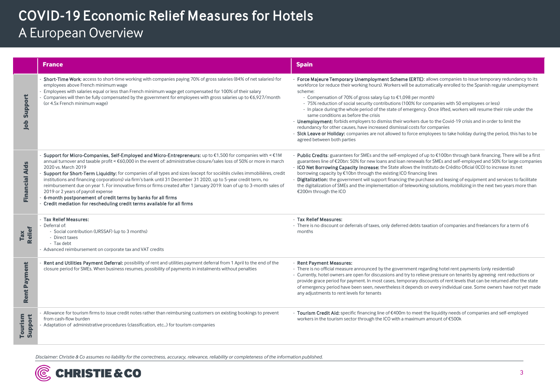|                       | <b>France</b>                                                                                                                                                                                                                                                                                                                                                                                                                                                                                                                                                                                                                                                                                                                                                                                                         | <b>Spain</b>                                                                                                                                                                                                                                                                                                                                                                                                                                                                                                                                                                                                                                                                                                                                                                                                                                                                                                                                  |  |
|-----------------------|-----------------------------------------------------------------------------------------------------------------------------------------------------------------------------------------------------------------------------------------------------------------------------------------------------------------------------------------------------------------------------------------------------------------------------------------------------------------------------------------------------------------------------------------------------------------------------------------------------------------------------------------------------------------------------------------------------------------------------------------------------------------------------------------------------------------------|-----------------------------------------------------------------------------------------------------------------------------------------------------------------------------------------------------------------------------------------------------------------------------------------------------------------------------------------------------------------------------------------------------------------------------------------------------------------------------------------------------------------------------------------------------------------------------------------------------------------------------------------------------------------------------------------------------------------------------------------------------------------------------------------------------------------------------------------------------------------------------------------------------------------------------------------------|--|
| Support<br>Job        | Short-Time Work: access to short-time working with companies paying 70% of gross salaries (84% of net salaries) for<br>employees above French minimum wage<br>Employees with salaries equal or less than French minimum wage get compensated for 100% of their salary<br>Companies will then be fully compensated by the government for employees with gross salaries up to €6,927/month<br>(or 4.5x French minimum wage)                                                                                                                                                                                                                                                                                                                                                                                             | - Force Majeure Temporary Unemployment Scheme (ERTE): allows companies to issue temporary redundancy to its<br>workforce (or reduce their working hours). Workers will be automatically enrolled to the Spanish regular unemployment<br>scheme:<br>- Compensation of 70% of gross salary (up to €1,098 per month)<br>- 75% reduction of social security contributions (100% for companies with 50 employees or less)<br>- In place during the whole period of the state of emergency. Once lifted, workers will resume their role under the<br>same conditions as before the crisis<br>- Unemployment: forbids employers to dismiss their workers due to the Covid-19 crisis and in order to limit the<br>redundancy for other causes, have increased dismissal costs for companies<br>- Sick Leave or Holiday: companies are not allowed to force employees to take holiday during the period, this has to be<br>agreed between both parties |  |
| <b>Financial Aids</b> | Support for Micro-Companies, Self-Employed and Micro-Entrepreneurs: up to €1,500 for companies with < €1M<br>annual turnover and taxable profit < €60,000 in the event of: administrative closure/sales loss of 50% or more in march<br>2020 vs. March 2019<br>Support for Short-Term Liquidity: for companies of all types and sizes (except for sociétés civiles immobilières, credit<br>institutions and financing corporations) via firm's bank until 31 December 31 2020, up to 5-year credit term, no<br>reimbursement due on year 1. For innovative firms or firms created after 1 January 2019: Ioan of up to 3-month sales of<br>2019 or 2 years of payroll expense<br>6-month postponement of credit terms by banks for all firms<br>Credit mediation for rescheduling credit terms available for all firms | - Public Credits: guarantees for SMEs and the self-employed of up to $\epsilon$ 100bn through bank financing. There will be a first<br>guarantees line of €20bn: 50% for new loans and loan renewals for SMEs and self-employed and 50% for large companies<br>- ICO Net Borrowing Capacity Increase: the State allows the Instituto de Crédito Oficial (ICO) to increase its net<br>borrowing capacity by €10bn through the existing ICO financing lines<br>- Digitalization: the government will support financing the purchase and leasing of equipment and services to facilitate<br>the digitalization of SMEs and the implementation of teleworking solutions, mobilizing in the next two years more than<br>€200m through the ICO                                                                                                                                                                                                      |  |
| Tax<br>Relief         | - Tax Relief Measures:<br>Deferral of:<br>- Social contribution (URSSAF) (up to 3 months)<br>- Direct taxes<br>- Tax debt<br>Advanced reimbursement on corporate tax and VAT credits                                                                                                                                                                                                                                                                                                                                                                                                                                                                                                                                                                                                                                  | - Tax Relief Measures:<br>- There is no discount or deferrals of taxes, only deferred debts taxation of companies and freelancers for a term of 6<br>months                                                                                                                                                                                                                                                                                                                                                                                                                                                                                                                                                                                                                                                                                                                                                                                   |  |
| Rent Payment          | Rent and Utilities Payment Deferral: possibility of rent and utilities payment deferral from 1 April to the end of the<br>closure period for SMEs. When business resumes, possibility of payments in instalments without penalties                                                                                                                                                                                                                                                                                                                                                                                                                                                                                                                                                                                    | - Rent Payment Measures:<br>- There is no official measure announced by the government regarding hotel rent payments (only residential)<br>- Currently, hotel owners are open for discussions and try to relieve pressure on tenants by agreeing rent reductions or<br>provide grace period for payment. In most cases, temporary discounts of rent levels that can be returned after the state<br>of emergency period have been seen, nevertheless it depends on every individual case. Some owners have not yet made<br>any adjustments to rent levels for tenants                                                                                                                                                                                                                                                                                                                                                                          |  |
| Tourism<br>Support    | Allowance for tourism firms to issue credit notes rather than reimbursing customers on existing bookings to prevent<br>from cash-flow burden<br>Adaptation of administrative procedures (classification, etc) for tourism companies                                                                                                                                                                                                                                                                                                                                                                                                                                                                                                                                                                                   | - Tourism Credit Aid: specific financing line of €400m to meet the liquidity needs of companies and self-employed<br>workers in the tourism sector through the ICO with a maximum amount of €500k                                                                                                                                                                                                                                                                                                                                                                                                                                                                                                                                                                                                                                                                                                                                             |  |

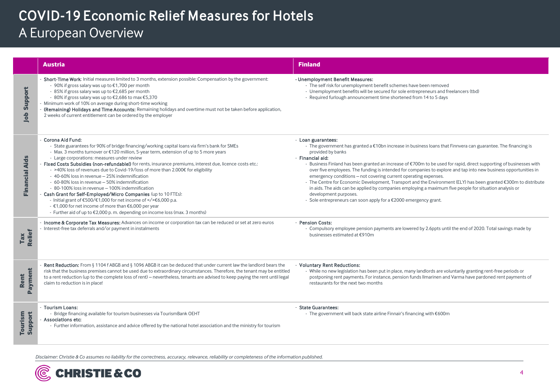|                       | <b>Austria</b>                                                                                                                                                                                                                                                                                                                                                                                                                                                                                                                                                                                                                                                                                                                                                                                                                                                                                | <b>Finland</b>                                                                                                                                                                                                                                                                                                                                                                                                                                                                                                                                                                                                                                                                                                                                                                                                      |
|-----------------------|-----------------------------------------------------------------------------------------------------------------------------------------------------------------------------------------------------------------------------------------------------------------------------------------------------------------------------------------------------------------------------------------------------------------------------------------------------------------------------------------------------------------------------------------------------------------------------------------------------------------------------------------------------------------------------------------------------------------------------------------------------------------------------------------------------------------------------------------------------------------------------------------------|---------------------------------------------------------------------------------------------------------------------------------------------------------------------------------------------------------------------------------------------------------------------------------------------------------------------------------------------------------------------------------------------------------------------------------------------------------------------------------------------------------------------------------------------------------------------------------------------------------------------------------------------------------------------------------------------------------------------------------------------------------------------------------------------------------------------|
| Support<br>dol        | Short-Time Work: Initial measures limited to 3 months, extension possible: Compensation by the government:<br>- 90% if gross salary was up to €1,700 per month<br>- 85% if gross salary was up to €2,685 per month<br>- 80% if gross salary was up to €2,686 to max €5,370<br>Minimum work of 10% on average during short-time working<br>(Remaining) Holidays and Time Accounts: Remaining holidays and overtime must not be taken before application,<br>2 weeks of current entitlement can be ordered by the employer                                                                                                                                                                                                                                                                                                                                                                      | - Unemployment Benefit Measures:<br>- The self risk for unemployment benefit schemes have been removed<br>- Unemployment benefits will be secured for sole entrepreneurs and freelancers (tbd)<br>- Required furlough announcement time shortened from 14 to 5 days                                                                                                                                                                                                                                                                                                                                                                                                                                                                                                                                                 |
| <b>Financial Aids</b> | Corona Aid Fund:<br>- State guarantees for 90% of bridge financing/working capital loans via firm's bank for SMEs<br>- Max. 3 months turnover or €120 million, 5-year term, extension of up to 5 more years<br>- Large corporations: measures under review<br>- Fixed Costs Subsidies (non-refundable!) for rents, insurance premiums, interest due, licence costs etc.:<br>- >40% loss of revenues due to Covid-19/loss of more than 2.000€ for eligibility<br>- 40-60% loss in revenue - 25% indemnification<br>- 60-80% loss in revenue - 50% indemnification<br>- 80-100% loss in revenue - 100% indemnification<br>Cash Grant for Self-Employed/Micro Companies (up to 10 FTEs):<br>- Initial grant of €500/€1,000 for net income of  €6,000 p.a.<br>- €1,000 for net income of more than €6,000 per year<br>- Further aid of up to €2,000 p.m. depending on income loss (max. 3 months) | - Loan guarantees:<br>- The government has granted a €10bn increase in business loans that Finnvera can guarantee. The financing is<br>provided by banks<br>- Financial aid:<br>Business Finland has been granted an increase of €700m to be used for rapid, direct supporting of businesses with<br>over five employees. The funding is intended for companies to explore and tap into new business opportunities in<br>emergency conditions – not covering current operating expenses.<br>- The Centre for Economic Development, Transport and the Environment (ELY) has been granted €300m to distribute<br>in aids. The aids can be applied by companies employing a maximum five people for situation analysis or<br>development purposes.<br>- Sole entrepreneurs can soon apply for a €2000 emergency grant. |
| Tax<br>Relief         | Income & Corporate Tax Measures: Advances on income or corporation tax can be reduced or set at zero euros<br>Interest-free tax deferrals and/or payment in instalments                                                                                                                                                                                                                                                                                                                                                                                                                                                                                                                                                                                                                                                                                                                       | - Pension Costs:<br>- Compulsory employee pension payments are lowered by 2.6ppts until the end of 2020. Total savings made by<br>businesses estimated at €910m                                                                                                                                                                                                                                                                                                                                                                                                                                                                                                                                                                                                                                                     |
| Payment<br>Rent       | <b>Rent Reduction:</b> From § 1104 f ABGB and § 1096 ABGB it can be deduced that under current law the landlord bears the<br>risk that the business premises cannot be used due to extraordinary circumstances. Therefore, the tenant may be entitled<br>to a rent reduction (up to the complete loss of rent) – nevertheless, tenants are advised to keep paying the rent until legal<br>claim to reduction is in place!                                                                                                                                                                                                                                                                                                                                                                                                                                                                     | - Voluntary Rent Reductions:<br>While no new legislation has been put in place, many landlords are voluntarily granting rent-free periods or<br>postponing rent payments. For instance, pension funds Ilmarinen and Varma have pardoned rent payments of<br>restaurants for the next two months                                                                                                                                                                                                                                                                                                                                                                                                                                                                                                                     |
| Tourism<br>Support    | Tourism Loans:<br>- Bridge financing available for tourism businesses via TourismBank OEHT<br>Associations etc:<br>- Further information, assistance and advice offered by the national hotel association and the ministry for tourism                                                                                                                                                                                                                                                                                                                                                                                                                                                                                                                                                                                                                                                        | - State Guarantees:<br>- The government will back state airline Finnair's financing with €600m                                                                                                                                                                                                                                                                                                                                                                                                                                                                                                                                                                                                                                                                                                                      |

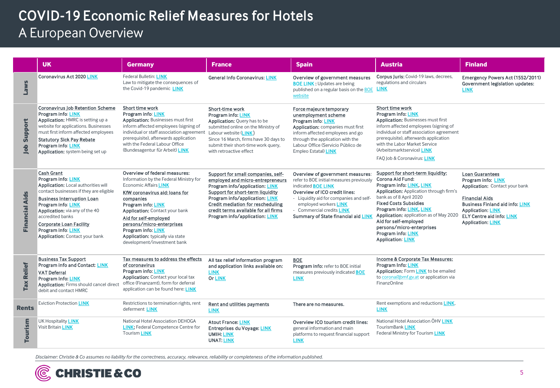|                       | <b>UK</b>                                                                                                                                                                                                                                                                                                                                          | <b>Germany</b>                                                                                                                                                                                                                                                                                                                                                                      | France                                                                                                                                                                                                                                                                                        | <b>Spain</b>                                                                                                                                                                                                                                                                       | Austria                                                                                                                                                                                                                                                                                                                                                                       | <b>Finland</b>                                                                                                                                                                                                                                |
|-----------------------|----------------------------------------------------------------------------------------------------------------------------------------------------------------------------------------------------------------------------------------------------------------------------------------------------------------------------------------------------|-------------------------------------------------------------------------------------------------------------------------------------------------------------------------------------------------------------------------------------------------------------------------------------------------------------------------------------------------------------------------------------|-----------------------------------------------------------------------------------------------------------------------------------------------------------------------------------------------------------------------------------------------------------------------------------------------|------------------------------------------------------------------------------------------------------------------------------------------------------------------------------------------------------------------------------------------------------------------------------------|-------------------------------------------------------------------------------------------------------------------------------------------------------------------------------------------------------------------------------------------------------------------------------------------------------------------------------------------------------------------------------|-----------------------------------------------------------------------------------------------------------------------------------------------------------------------------------------------------------------------------------------------|
| Laws                  | <b>Coronavirus Act 2020 LINK</b>                                                                                                                                                                                                                                                                                                                   | Federal Bulletin: LINK<br>Law to mitigate the consequences of<br>the Covid-19 pandemic LINK                                                                                                                                                                                                                                                                                         | <b>General Info Coronavirus: LINK</b>                                                                                                                                                                                                                                                         | Overview of government measures<br><b>BOE LINK: Updates are being</b><br>published on a regular basis on the BOE<br>website                                                                                                                                                        | Corpus Juris: Covid-19 laws, decrees,<br>regulations and circulars<br><b>LINK</b>                                                                                                                                                                                                                                                                                             | Emergency Powers Act (1552/2011)<br>Government legislation updates:<br><b>LINK</b>                                                                                                                                                            |
| Support<br><b>dol</b> | <b>Coronavirus Job Retention Scheme</b><br><b>Program info: LINK</b><br>Application: HMRC is setting up a<br>website for applications. Businesses<br>must first inform affected employees<br><b>Statutory Sick Pay Rebate</b><br>Program info: LINK<br>Application: system being set up                                                            | Short time work<br>Program info: LINK<br><b>Application:</b> Businesses must first<br>inform affected employees (signing of<br>individual or staff association agreement<br>prerequisite), afterwards application<br>with the Federal Labour Office<br>(Bundesagentur für Arbeit) LINK                                                                                              | Short-time work<br>Program info: LINK<br>Application: Query has to be<br>submitted online on the Ministry of<br>Labour website (LINK)<br>Since 16 March, firms have 30 days to<br>submit their short-time work query,<br>with retroactive effect                                              | Force majeure temporary<br>unemployment scheme<br>Program info: LINK<br>Application: companies must first<br>inform affected employees and go<br>through the application with the<br>Labour Office (Servicio Público de<br>Empleo Estatal) LINK                                    | Short time work<br><b>Program info: LINK</b><br><b>Application: Businesses must first</b><br>inform affected employees (signing of<br>individual or staff association agreement<br>prerequisite), afterwards application<br>with the Labor Market Service<br>(Arbeitsmarktservice) LINK<br>FAQ Job & Coronavirus: LINK                                                        |                                                                                                                                                                                                                                               |
| <b>Financial Aids</b> | <b>Cash Grant</b><br>Program info: LINK<br>Application: Local authorities will<br>contact businesses if they are eligible<br><b>Business Interruption Loan</b><br><b>Program info: LINK</b><br>Application: via any of the 40<br>accredited banks<br><b>Corporate Loan Facility</b><br><b>Program info: LINK</b><br>Application: Contact your bank | Overview of federal measures:<br>Information by the Federal Ministry for<br><b>Economic Affairs LINK</b><br>KfW coronavirus aid: loans for<br>companies<br>Program info: LINK<br><b>Application: Contact your bank</b><br>Aid for self-employed<br>persons/micro-enterprises<br><b>Program info: LINK</b><br><b>Application:</b> typically via state<br>development/investment bank | Support for small companies, self-<br>employed and micro-entrepreneurs<br>Program info/application: LINK<br>Support for short-term liquidity<br>Program info/application: LINK<br>Credit mediation for rescheduling<br>credit terms available for all firms<br>Program info/application: LINK | Overview of government measures:<br>refer to BOE initial measures previously<br>indicated <b>BOE LINK</b><br>Overview of ICO credit lines:<br>- Liquidity aid for companies and self-<br>employed workers LINK<br>- Commercial credits LINK<br>Summary of State financial aid LINK | Support for short-term liquidity:<br>Corona Aid Fund:<br>Program info: LINK, LINK<br>Application: Application through firm's<br>bank as of 8 April 2020<br><b>Fixed Costs Subsidies</b><br>Program info: LINK, LINK<br>Application: application as of May 2020<br>Aid for self-employed<br>persons/micro-enterprises<br><b>Program info: LINK</b><br><b>Application: LINK</b> | <b>Loan Guarantees</b><br>Program info: LINK<br>Application: Contact your bank<br><b>Financial Aids</b><br><b>Business Finland aid info: LINK</b><br><b>Application: LINK</b><br><b>ELY Centre aid info: LINK</b><br><b>Application: LINK</b> |
| <b>Tax Relief</b>     | <b>Business Tax Support</b><br>Program info and Contact: LINK<br><b>VAT Deferral</b><br><b>Program Info: LINK</b><br>Application: Firms should cancel direct<br>debit and contact HMRC                                                                                                                                                             | Tax measures to address the effects<br>of coronavirus<br>Program info: LINK<br>Application: Contact your local tax<br>office (Finanzamt), form for deferral<br>application can be found here: LINK                                                                                                                                                                                  | All tax relief information program<br>and application links available on:<br><b>LINK</b><br><b>Or LINK</b>                                                                                                                                                                                    | <b>BOE</b><br>Program info: refer to BOE initial<br>measures previously indicated <b>BOE</b><br><b>LINK</b>                                                                                                                                                                        | Income & Corporate Tax Measures:<br><b>Program Info: LINK</b><br>Application: Form LINK to be emailed<br>to corona@bmf.gv.at or application via<br><b>FinanzOnline</b>                                                                                                                                                                                                        |                                                                                                                                                                                                                                               |
| Rents                 | <b>Eviction Protection LINK</b>                                                                                                                                                                                                                                                                                                                    | Restrictions to termination rights, rent<br>deferment <b>LINK</b>                                                                                                                                                                                                                                                                                                                   | Rent and utilities payments<br><b>LINK</b>                                                                                                                                                                                                                                                    | There are no measures.                                                                                                                                                                                                                                                             | Rent exemptions and reductions LINK.<br><b>LINK</b>                                                                                                                                                                                                                                                                                                                           |                                                                                                                                                                                                                                               |
| Tourism               | UK Hospitality <b>LINK</b><br>Visit Britain LINK                                                                                                                                                                                                                                                                                                   | National Hotel Association DEHOGA<br><b>LINK</b> ; Federal Competence Centre for<br><b>Tourism LINK</b>                                                                                                                                                                                                                                                                             | <b>Atout France: LINK</b><br><b>Entreprises du Voyage: LINK</b><br><b>UMIH: LINK</b><br><b>UNAT: LINK</b>                                                                                                                                                                                     | Overview ICO tourism credit lines:<br>general information and main<br>platforms to request financial support<br><b>LINK</b>                                                                                                                                                        | National Hotel Association ÖHV LINK<br>TourismBank LINK<br>Federal Ministry for Tourism LINK                                                                                                                                                                                                                                                                                  |                                                                                                                                                                                                                                               |